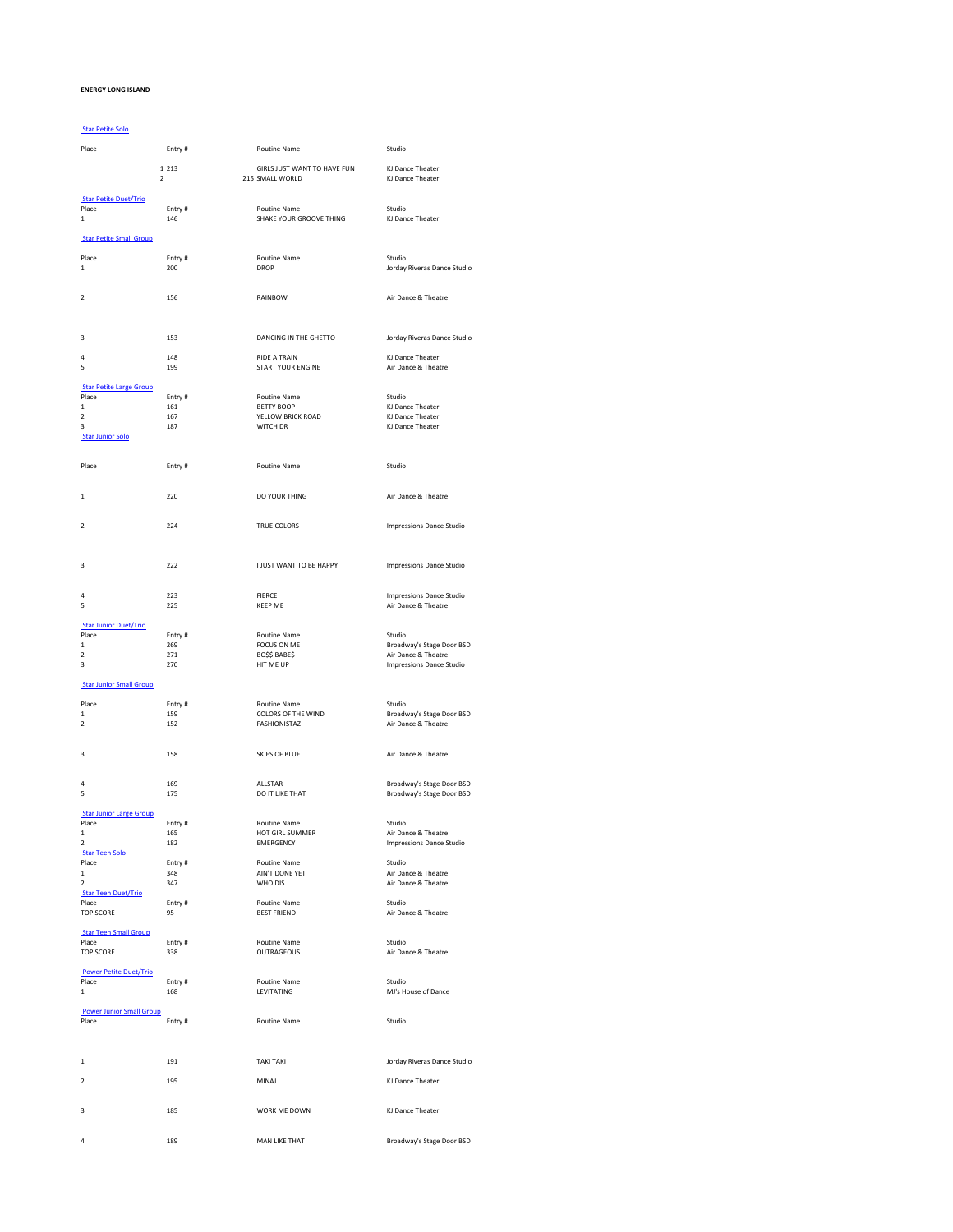## **ENERGY LONG ISLAND**

## [Star Petite Solo](/dsv2/admin/score_list.php?events_reportsID=2)

| Place                                    | Entry#        | <b>Routine Name</b>                    | Studio                                                 |
|------------------------------------------|---------------|----------------------------------------|--------------------------------------------------------|
|                                          | 1 2 1 3       | GIRLS JUST WANT TO HAVE FUN            | KJ Dance Theater                                       |
| $\mathbf 2$                              |               | 215 SMALL WORLD                        | KJ Dance Theater                                       |
| <b>Star Petite Duet/Trio</b>             |               |                                        |                                                        |
| Place                                    | Entry#        | Routine Name                           | Studio                                                 |
| $\mathbf 1$                              | 146           | SHAKE YOUR GROOVE THING                | KJ Dance Theater                                       |
| <b>Star Petite Small Group</b>           |               |                                        |                                                        |
| Place                                    | Entry#        | Routine Name                           | Studio                                                 |
| $\mathbf 1$                              | 200           | <b>DROP</b>                            | Jorday Riveras Dance Studio                            |
|                                          |               |                                        |                                                        |
| $\mathbf 2$                              | 156           | RAINBOW                                | Air Dance & Theatre                                    |
|                                          |               |                                        |                                                        |
|                                          |               |                                        |                                                        |
| 3                                        | 153           | DANCING IN THE GHETTO                  | Jorday Riveras Dance Studio                            |
| 4                                        | 148           | <b>RIDE A TRAIN</b>                    | KJ Dance Theater                                       |
| 5                                        | 199           | <b>START YOUR ENGINE</b>               | Air Dance & Theatre                                    |
| <b>Star Petite Large Group</b>           |               |                                        |                                                        |
| Place                                    | Entry#        | Routine Name                           | Studio                                                 |
| 1<br>$\overline{\mathbf{2}}$             | 161<br>167    | <b>BETTY BOOP</b><br>YELLOW BRICK ROAD | KJ Dance Theater<br>KJ Dance Theater                   |
| 3                                        | 187           | WITCH DR                               | KJ Dance Theater                                       |
| <b>Star Junior Solo</b>                  |               |                                        |                                                        |
|                                          |               |                                        |                                                        |
| Place                                    | Entry#        | Routine Name                           | Studio                                                 |
|                                          |               |                                        |                                                        |
| $\mathbf{1}$                             | 220           | DO YOUR THING                          | Air Dance & Theatre                                    |
|                                          |               |                                        |                                                        |
| $\overline{2}$                           | 224           | TRUE COLORS                            | Impressions Dance Studio                               |
|                                          |               |                                        |                                                        |
|                                          |               |                                        |                                                        |
| 3                                        | 222           | <b>I JUST WANT TO BE HAPPY</b>         | <b>Impressions Dance Studio</b>                        |
|                                          |               |                                        |                                                        |
| 4<br>5                                   | 223<br>225    | <b>FIERCE</b><br><b>KEEP ME</b>        | <b>Impressions Dance Studio</b><br>Air Dance & Theatre |
|                                          |               |                                        |                                                        |
| <b>Star Junior Duet/Trio</b><br>Place    | Entry#        | Routine Name                           | Studio                                                 |
| $\mathbf{1}$                             | 269           | FOCUS ON ME                            | Broadway's Stage Door BSD                              |
| $\overline{\mathbf{2}}$                  | 271           | BOSS BABES                             | Air Dance & Theatre                                    |
| 3                                        | 270           | HIT ME UP                              | <b>Impressions Dance Studio</b>                        |
| <b>Star Junior Small Group</b>           |               |                                        |                                                        |
| Place                                    | Entry#        | <b>Routine Name</b>                    | Studio                                                 |
| $\mathbf{1}$                             | 159           | COLORS OF THE WIND                     | Broadway's Stage Door BSD                              |
| $\overline{2}$                           | 152           | FASHIONISTAZ                           | Air Dance & Theatre                                    |
|                                          |               |                                        |                                                        |
| 3                                        | 158           | <b>SKIES OF BLUE</b>                   | Air Dance & Theatre                                    |
|                                          |               |                                        |                                                        |
| 4                                        | 169           | <b>ALLSTAR</b>                         | Broadway's Stage Door BSD                              |
| 5                                        | 175           | DO IT LIKE THAT                        | Broadway's Stage Door BSD                              |
| <b>Star Junior Large Group</b>           |               |                                        |                                                        |
| Place<br>$\mathbf{1}$                    | Entry#<br>165 | Routine Name<br>HOT GIRL SUMMER        | Studio<br>Air Dance & Theatre                          |
| 2                                        | 182           | EMERGENCY                              | <b>Impressions Dance Studio</b>                        |
| <b>Star Teen Solo</b>                    |               |                                        |                                                        |
| Place                                    | Entry#        | Routine Name                           | Studio                                                 |
| $\mathbf 1$<br>$\overline{2}$            | 348<br>347    | AIN'T DONE YET<br>WHO DIS              | Air Dance & Theatre<br>Air Dance & Theatre             |
| <b>Star Teen Duet/Trio</b>               |               |                                        |                                                        |
| Place                                    | Entry#        | Routine Name                           | Studio                                                 |
| TOP SCORE                                | 95            | <b>BEST FRIEND</b>                     | Air Dance & Theatre                                    |
| <b>Star Teen Small Group</b>             |               |                                        |                                                        |
| Place                                    | Entry#        | Routine Name                           | Studio                                                 |
| <b>TOP SCORE</b>                         | 338           | <b>OUTRAGEOUS</b>                      | Air Dance & Theatre                                    |
| <b>Power Petite Duet/Trio</b>            |               |                                        |                                                        |
| Place<br>$\mathbf 1$                     | Entry#<br>168 | Routine Name<br>LEVITATING             | Studio<br>MJ's House of Dance                          |
|                                          |               |                                        |                                                        |
| <b>Power Junior Small Group</b><br>Place | Entry#        |                                        |                                                        |
|                                          |               | Routine Name                           | Studio                                                 |
|                                          |               |                                        |                                                        |
| $\mathbf 1$                              | 191           | <b>TAKI TAKI</b>                       | Jorday Riveras Dance Studio                            |
| $\overline{\mathbf{2}}$                  |               |                                        |                                                        |
|                                          | 195           | MINAJ                                  | KJ Dance Theater                                       |
| 3                                        | 185           | WORK ME DOWN                           | KJ Dance Theater                                       |
|                                          |               |                                        |                                                        |

4 189 MAN LIKE THAT Broadway's Stage Door BSD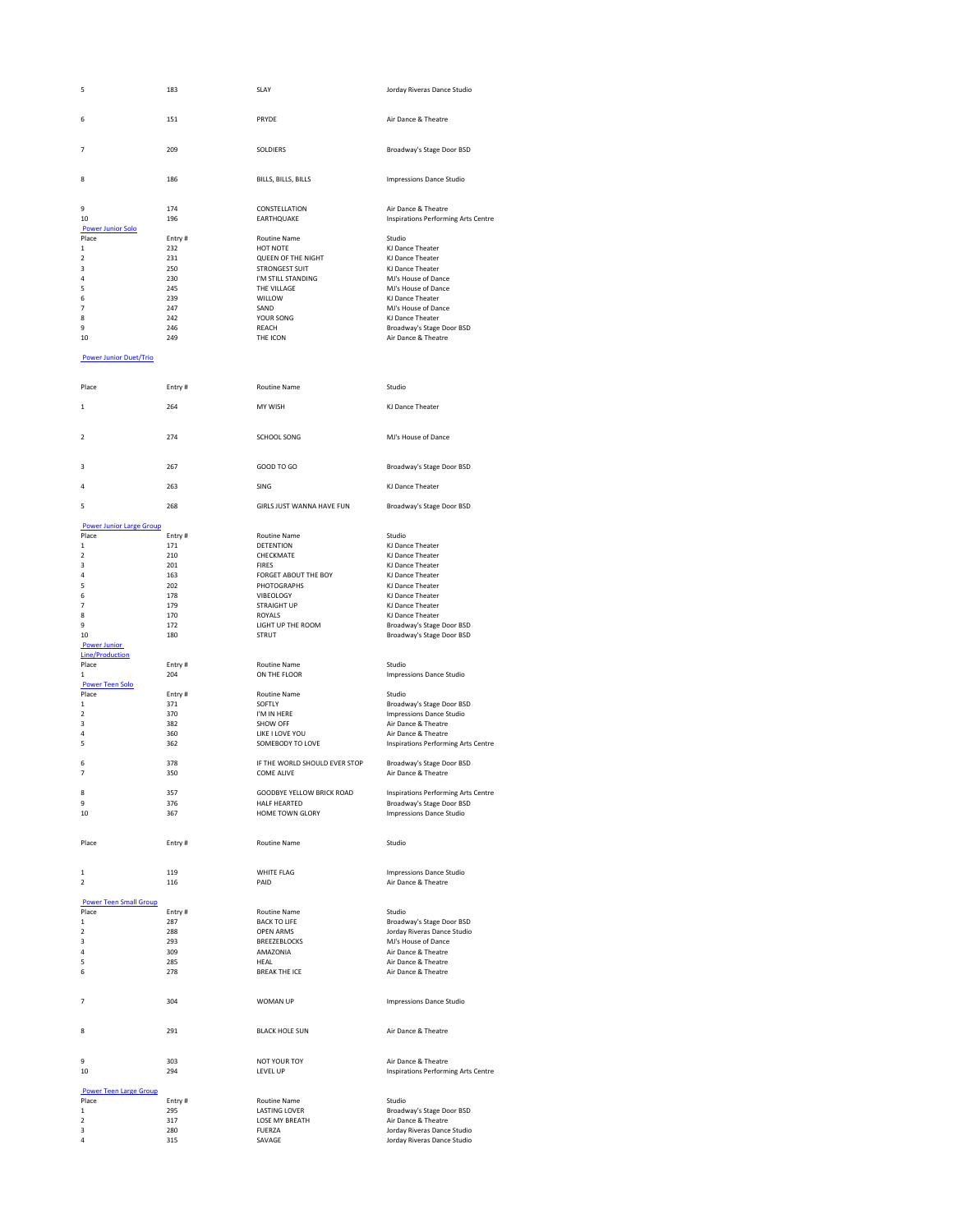| 5                               | 183           | SLAY                                        | Jorday Riveras Dance Studio                                      |
|---------------------------------|---------------|---------------------------------------------|------------------------------------------------------------------|
|                                 |               |                                             |                                                                  |
| 6                               | 151           | PRYDE                                       | Air Dance & Theatre                                              |
|                                 |               |                                             |                                                                  |
| 7                               | 209           | SOLDIERS                                    | Broadway's Stage Door BSD                                        |
|                                 |               |                                             |                                                                  |
| 8                               | 186           | BILLS, BILLS, BILLS                         | Impressions Dance Studio                                         |
|                                 |               |                                             |                                                                  |
| 9<br>10                         | 174<br>196    | CONSTELLATION<br>EARTHQUAKE                 | Air Dance & Theatre<br>Inspirations Performing Arts Centre       |
| <b>Power Junior Solo</b>        |               |                                             |                                                                  |
| Place<br>$\mathbf{1}$           | Entry#<br>232 | Routine Name<br>HOT NOTE                    | Studio<br>KJ Dance Theater                                       |
| $\overline{2}$                  | 231           | QUEEN OF THE NIGHT                          | KJ Dance Theater                                                 |
| 3<br>4                          | 250<br>230    | STRONGEST SUIT<br>I'M STILL STANDING        | KJ Dance Theater<br>MJ's House of Dance                          |
| 5                               | 245           | THE VILLAGE                                 | MJ's House of Dance                                              |
| 6<br>7                          | 239<br>247    | WILLOW<br>SAND                              | KJ Dance Theater<br>MJ's House of Dance                          |
| 8                               | 242           | YOUR SONG                                   | KJ Dance Theater                                                 |
| 9<br>10                         | 246<br>249    | REACH<br>THE ICON                           | Broadway's Stage Door BSD<br>Air Dance & Theatre                 |
|                                 |               |                                             |                                                                  |
| <b>Power Junior Duet/Trio</b>   |               |                                             |                                                                  |
|                                 |               |                                             |                                                                  |
| Place                           | Entry#        | <b>Routine Name</b>                         | Studio                                                           |
| 1                               | 264           | MY WISH                                     | KJ Dance Theater                                                 |
|                                 |               |                                             |                                                                  |
| 2                               | 274           | SCHOOL SONG                                 | MJ's House of Dance                                              |
|                                 |               |                                             |                                                                  |
| з                               | 267           | GOOD TO GO                                  | Broadway's Stage Door BSD                                        |
| 4                               | 263           | SING                                        | KJ Dance Theater                                                 |
|                                 |               |                                             |                                                                  |
| 5                               | 268           | GIRLS JUST WANNA HAVE FUN                   | Broadway's Stage Door BSD                                        |
| <b>Power Junior Large Group</b> |               |                                             |                                                                  |
| Place<br>1                      | Entry#<br>171 | <b>Routine Name</b><br><b>DETENTION</b>     | Studio<br>KJ Dance Theater                                       |
| 2                               | 210           | CHECKMATE                                   | KJ Dance Theater                                                 |
| 3                               | 201           | <b>FIRES</b>                                | KJ Dance Theater                                                 |
| 4                               | 163           | FORGET ABOUT THE BOY                        | KJ Dance Theater                                                 |
| 5                               | 202           | PHOTOGRAPHS                                 | KJ Dance Theater                                                 |
| 6<br>7                          | 178<br>179    | VIBEOLOGY<br><b>STRAIGHT UP</b>             | KJ Dance Theater<br>KJ Dance Theater                             |
| 8                               | 170           | <b>ROYALS</b>                               | KJ Dance Theater                                                 |
| 9                               | 172           | LIGHT UP THE ROOM                           | Broadway's Stage Door BSD                                        |
| 10                              | 180           | STRUT                                       | Broadway's Stage Door BSD                                        |
| <b>Power Junior</b>             |               |                                             |                                                                  |
| <b>Line/Production</b>          |               |                                             |                                                                  |
| Place                           | Entry#        | <b>Routine Name</b>                         | Studio                                                           |
| $\mathbf{1}$                    | 204           | ON THE FLOOR                                | <b>Impressions Dance Studio</b>                                  |
| <b>Power Teen Solo</b><br>Place | Entry#        | <b>Routine Name</b>                         | Studio                                                           |
| 1                               | 371           | SOFTI Y                                     | Broadway's Stage Door BSD                                        |
| 2                               | 370           | I'M IN HERE                                 | <b>Impressions Dance Studio</b>                                  |
| 3                               | 382           | SHOW OFF                                    | Air Dance & Theatre                                              |
| 4<br>5                          | 360<br>362    | LIKE I LOVE YOU<br>SOMEBODY TO LOVE         | Air Dance & Theatre<br>Inspirations Performing Arts Centre       |
|                                 |               |                                             |                                                                  |
| 6<br>7                          | 378<br>350    | IF THE WORLD SHOULD EVER STOP<br>COME ALIVE | Broadway's Stage Door BSD<br>Air Dance & Theatre                 |
|                                 |               |                                             |                                                                  |
| 8<br>9                          | 357<br>376    | GOODBYE YELLOW BRICK ROAD<br>HALF HEARTED   | Inspirations Performing Arts Centre<br>Broadway's Stage Door BSD |
| 10                              | 367           | HOME TOWN GLORY                             | <b>Impressions Dance Studio</b>                                  |
|                                 |               |                                             |                                                                  |
| Place                           | Entry#        | Routine Name                                | Studio                                                           |
|                                 |               |                                             |                                                                  |
| 1                               | 119           | WHITE FLAG                                  | Impressions Dance Studio                                         |
| $\overline{2}$                  | 116           | PAID                                        | Air Dance & Theatre                                              |
| <b>Power Teen Small Group</b>   |               |                                             |                                                                  |
| Place                           | Entry#        | Routine Name                                | Studio                                                           |
| $\mathbf 1$                     | 287           | <b>BACK TO LIFE</b>                         | Broadway's Stage Door BSD<br>Jorday Riveras Dance Studio         |
| $\mathbf 2$<br>3                | 288<br>293    | OPEN ARMS<br><b>BREEZEBLOCKS</b>            | MJ's House of Dance                                              |
| 4                               | 309           | AMAZONIA                                    | Air Dance & Theatre                                              |
| 5                               | 285           | HEAL                                        | Air Dance & Theatre                                              |
| 6                               | 278           | <b>BREAK THE ICE</b>                        | Air Dance & Theatre                                              |
|                                 |               |                                             |                                                                  |
| 7                               | 304           | WOMAN UP                                    | Impressions Dance Studio                                         |
|                                 |               |                                             |                                                                  |
| 8                               | 291           | <b>BLACK HOLE SUN</b>                       | Air Dance & Theatre                                              |
|                                 |               |                                             |                                                                  |
| 9                               | 303           | <b>NOT YOUR TOY</b>                         | Air Dance & Theatre                                              |
| 10                              | 294           | LEVEL UP                                    | Inspirations Performing Arts Centre                              |
| <b>Power Teen Large Group</b>   |               |                                             |                                                                  |
| Place                           | Entry#        | <b>Routine Name</b>                         | Studio                                                           |
| 1                               | 295           | <b>LASTING LOVER</b>                        | Broadway's Stage Door BSD                                        |
| 2<br>3                          | 317           | LOSE MY BREATH<br><b>FUERZA</b>             | Air Dance & Theatre<br>Jorday Riveras Dance Studio               |
|                                 |               |                                             |                                                                  |
| 4                               | 280<br>315    | SAVAGE                                      | Jorday Riveras Dance Studio                                      |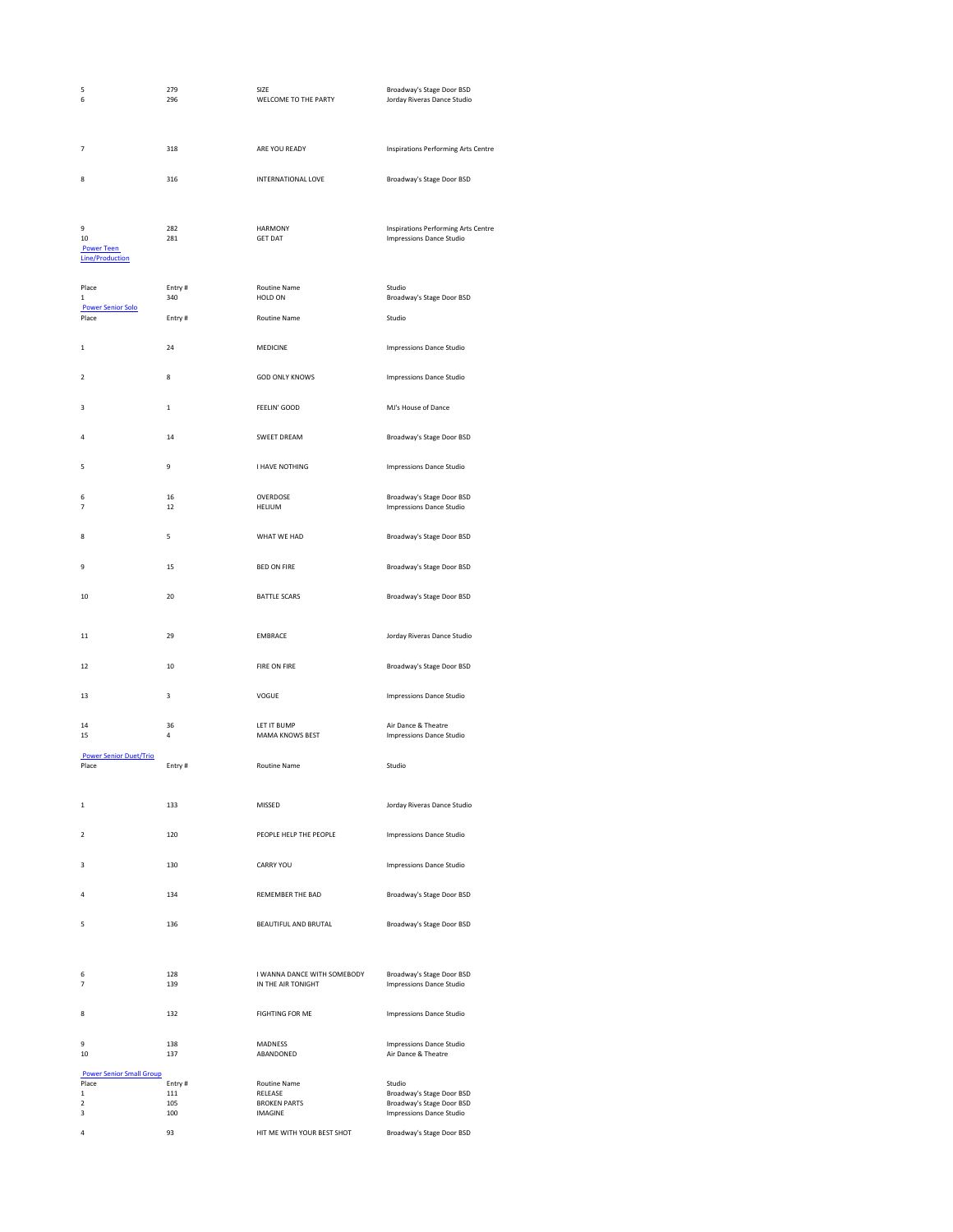| 5<br>6                                                 | 279<br>296    | SIZE<br>WELCOME TO THE PARTY                      | Broadway's Stage Door BSD<br>Jorday Riveras Dance Studio               |
|--------------------------------------------------------|---------------|---------------------------------------------------|------------------------------------------------------------------------|
| 7                                                      | 318           | ARE YOU READY                                     | Inspirations Performing Arts Centre                                    |
| 8                                                      | 316           | INTERNATIONAL LOVE                                | Broadway's Stage Door BSD                                              |
| 9<br>10<br><b>Power Teen</b><br><b>Line/Production</b> | 282<br>281    | <b>HARMONY</b><br><b>GET DAT</b>                  | Inspirations Performing Arts Centre<br><b>Impressions Dance Studio</b> |
| Place<br>1                                             | Entry#<br>340 | <b>Routine Name</b><br>HOLD ON                    | Studio<br>Broadway's Stage Door BSD                                    |
| <b>Power Senior Solo</b><br>Place                      | Entry#        | Routine Name                                      | Studio                                                                 |
| 1                                                      | 24            | MEDICINE                                          | Impressions Dance Studio                                               |
| 2                                                      | 8             | <b>GOD ONLY KNOWS</b>                             | <b>Impressions Dance Studio</b>                                        |
| 3                                                      | $\mathbf{1}$  | FEELIN' GOOD                                      | MJ's House of Dance                                                    |
| 4                                                      | 14            | SWEET DREAM                                       | Broadway's Stage Door BSD                                              |
| 5                                                      | 9             | <b>I HAVE NOTHING</b>                             | <b>Impressions Dance Studio</b>                                        |
| 6<br>$\overline{7}$                                    | 16<br>12      | OVERDOSE<br>HELIUM                                | Broadway's Stage Door BSD<br><b>Impressions Dance Studio</b>           |
| 8                                                      | 5             | WHAT WE HAD                                       | Broadway's Stage Door BSD                                              |
| 9                                                      | 15            | <b>BED ON FIRE</b>                                | Broadway's Stage Door BSD                                              |
| 10                                                     | 20            | <b>BATTLE SCARS</b>                               | Broadway's Stage Door BSD                                              |
| 11                                                     | 29            | <b>EMBRACE</b>                                    | Jorday Riveras Dance Studio                                            |
| 12                                                     | 10            | FIRE ON FIRE                                      | Broadway's Stage Door BSD                                              |
| 13                                                     | 3             | VOGUE                                             | <b>Impressions Dance Studio</b>                                        |
| 14<br>15                                               | 36<br>4       | LET IT BUMP<br>MAMA KNOWS BEST                    | Air Dance & Theatre<br><b>Impressions Dance Studio</b>                 |
| <b>Power Senior Duet/Trio</b><br>Place                 | Entry#        | Routine Name                                      | Studio                                                                 |
| $\mathbf{1}$                                           | 133           | MISSED                                            | Jorday Riveras Dance Studio                                            |
| $\overline{2}$                                         | 120           | PEOPLE HELP THE PEOPLE                            | <b>Impressions Dance Studio</b>                                        |
| 3                                                      | 130           | CARRY YOU                                         | <b>Impressions Dance Studio</b>                                        |
| 4                                                      | 134           | REMEMBER THE BAD                                  | Broadway's Stage Door BSD                                              |
| 5                                                      | 136           | BEAUTIFUL AND BRUTAL                              | Broadway's Stage Door BSD                                              |
| 6<br>$\overline{7}$                                    | 128<br>139    | I WANNA DANCE WITH SOMEBODY<br>IN THE AIR TONIGHT | Broadway's Stage Door BSD<br><b>Impressions Dance Studio</b>           |
| 8                                                      | 132           | <b>FIGHTING FOR ME</b>                            | <b>Impressions Dance Studio</b>                                        |
| 9<br>10                                                | 138<br>137    | <b>MADNESS</b><br>ABANDONED                       | <b>Impressions Dance Studio</b><br>Air Dance & Theatre                 |
| <b>Power Senior Small Group</b><br>Place               | Entry#        | Routine Name                                      | Studio                                                                 |
| $\mathbf{1}$                                           | 111           | RELEASE                                           | Broadway's Stage Door BSD                                              |
| $\overline{\mathbf{2}}$<br>3                           | 105<br>100    | <b>BROKEN PARTS</b><br>IMAGINE                    | Broadway's Stage Door BSD<br><b>Impressions Dance Studio</b>           |
| 4                                                      | 93            | HIT ME WITH YOUR BEST SHOT                        | Broadway's Stage Door BSD                                              |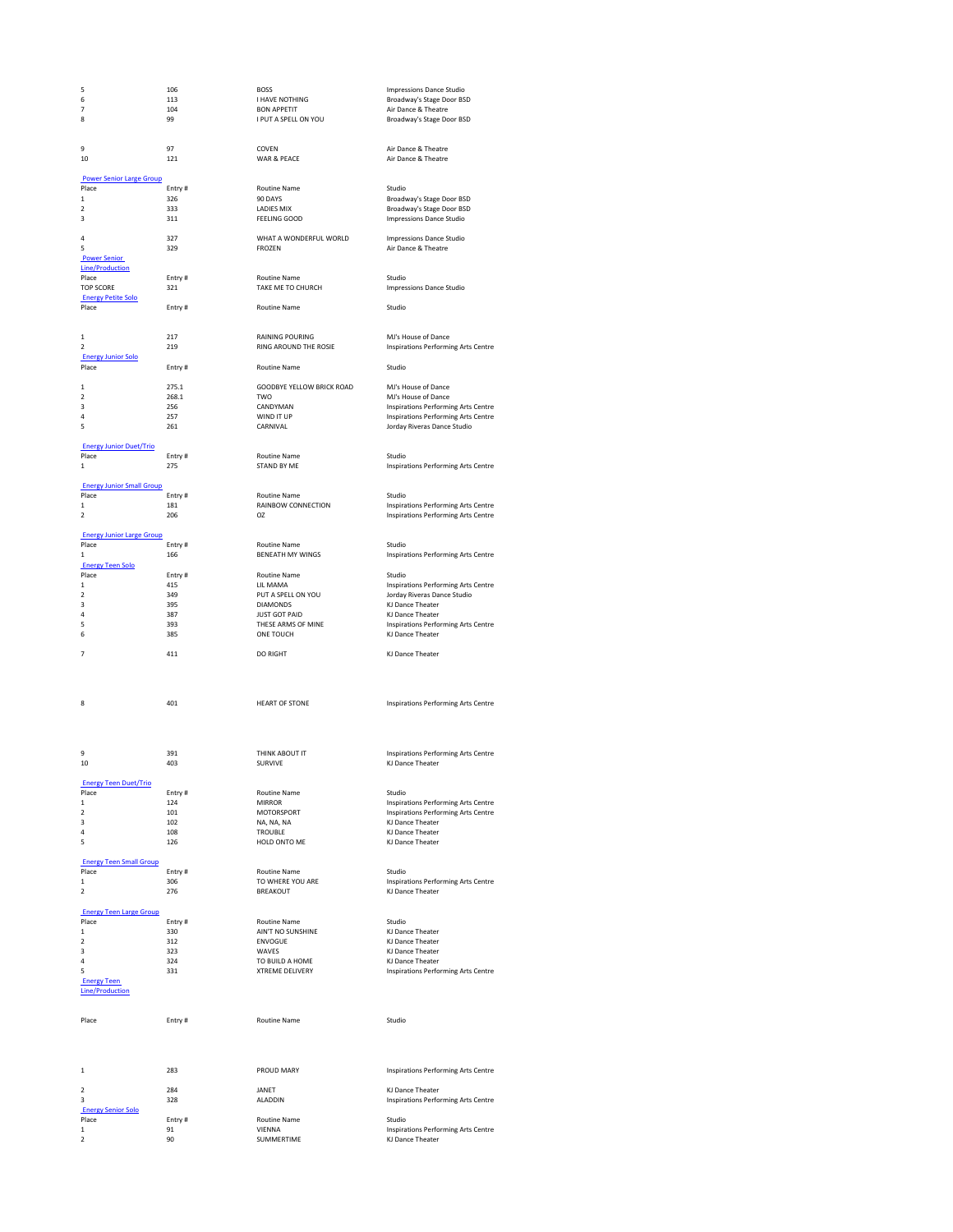| 5                                       | 106        | <b>BOSS</b>                                 | <b>Impressions Dance Studio</b>                                    |
|-----------------------------------------|------------|---------------------------------------------|--------------------------------------------------------------------|
| 6<br>7                                  | 113<br>104 | <b>I HAVE NOTHING</b><br><b>BON APPETIT</b> | Broadway's Stage Door BSD<br>Air Dance & Theatre                   |
| 8                                       | 99         | I PUT A SPELL ON YOU                        | Broadway's Stage Door BSD                                          |
|                                         |            |                                             |                                                                    |
|                                         |            |                                             |                                                                    |
| 9                                       | 97         | COVEN                                       | Air Dance & Theatre                                                |
| 10                                      | 121        | WAR & PEACE                                 | Air Dance & Theatre                                                |
| <b>Power Senior Large Group</b>         |            |                                             |                                                                    |
| Place                                   | Entry#     | Routine Name                                | Studio                                                             |
| $\mathbf{1}$                            | 326        | 90 DAYS                                     | Broadway's Stage Door BSD                                          |
| $\overline{\mathbf{2}}$                 | 333        | <b>LADIES MIX</b>                           | Broadway's Stage Door BSD                                          |
| 3                                       | 311        | <b>FEELING GOOD</b>                         | <b>Impressions Dance Studio</b>                                    |
| $\overline{a}$                          | 327        | WHAT A WONDERFUL WORLD                      | <b>Impressions Dance Studio</b>                                    |
| 5                                       | 329        | FROZEN                                      | Air Dance & Theatre                                                |
| <b>Power Senior</b>                     |            |                                             |                                                                    |
| <b>Line/Production</b>                  |            |                                             |                                                                    |
| Place                                   | Entry#     | <b>Routine Name</b>                         | Studio                                                             |
| <b>TOP SCORE</b>                        | 321        | TAKE ME TO CHURCH                           | <b>Impressions Dance Studio</b>                                    |
| <b>Energy Petite Solo</b><br>Place      | Entry#     | Routine Name                                | Studio                                                             |
|                                         |            |                                             |                                                                    |
|                                         |            |                                             |                                                                    |
| $\mathbf 1$                             | 217        | <b>RAINING POURING</b>                      | MJ's House of Dance                                                |
| $\overline{\phantom{a}}$                | 219        | RING AROUND THE ROSIE                       | Inspirations Performing Arts Centre                                |
| <b>Energy Junior Solo</b>               |            |                                             |                                                                    |
| Place                                   | Entry#     | Routine Name                                | Studio                                                             |
| $\mathbf{1}$                            | 275.1      | GOODBYE YELLOW BRICK ROAD                   | MJ's House of Dance                                                |
| $\overline{2}$                          | 268.1      | TWO                                         | MJ's House of Dance                                                |
| 3                                       | 256        | CANDYMAN                                    | Inspirations Performing Arts Centre                                |
| 4                                       | 257        | WIND IT UP                                  | Inspirations Performing Arts Centre                                |
| 5                                       | 261        | CARNIVAL                                    | Jorday Riveras Dance Studio                                        |
| <b>Energy Junior Duet/Trio</b>          |            |                                             |                                                                    |
| Place                                   | Entry#     | <b>Routine Name</b>                         | Studio                                                             |
| $\mathbf 1$                             | 275        | STAND BY ME                                 | Inspirations Performing Arts Centre                                |
|                                         |            |                                             |                                                                    |
| <b>Energy Junior Small Group</b>        |            |                                             |                                                                    |
| Place                                   | Entry#     | Routine Name                                | Studio                                                             |
| $\mathbf 1$<br>$\overline{\phantom{a}}$ | 181<br>206 | RAINBOW CONNECTION<br>O <sub>7</sub>        | Inspirations Performing Arts Centre                                |
|                                         |            |                                             | Inspirations Performing Arts Centre                                |
| <b>Energy Junior Large Group</b>        |            |                                             |                                                                    |
| Place                                   | Entry#     | Routine Name                                | Studio                                                             |
| $\mathbf{1}$                            | 166        | <b>BENEATH MY WINGS</b>                     | Inspirations Performing Arts Centre                                |
| <b>Energy Teen Solo</b>                 |            |                                             |                                                                    |
| Place                                   | Entry#     | Routine Name                                | Studio                                                             |
| $\mathbf 1$<br>$\overline{\mathbf{2}}$  | 415<br>349 | LIL MAMA<br>PUT A SPELL ON YOU              | Inspirations Performing Arts Centre<br>Jorday Riveras Dance Studio |
| 3                                       | 395        | <b>DIAMONDS</b>                             | KJ Dance Theater                                                   |
| 4                                       | 387        | <b>JUST GOT PAID</b>                        | KJ Dance Theater                                                   |
| 5                                       | 393        | THESE ARMS OF MINE                          | Inspirations Performing Arts Centre                                |
|                                         |            |                                             |                                                                    |
| 6                                       | 385        | ONE TOUCH                                   | KJ Dance Theater                                                   |
|                                         |            |                                             |                                                                    |
| 7                                       | 411        | <b>DO RIGHT</b>                             | KJ Dance Theater                                                   |
|                                         |            |                                             |                                                                    |
|                                         |            |                                             |                                                                    |
|                                         |            |                                             |                                                                    |
| 8                                       | 401        | <b>HEART OF STONE</b>                       | Inspirations Performing Arts Centre                                |
|                                         |            |                                             |                                                                    |
|                                         |            |                                             |                                                                    |
|                                         |            |                                             |                                                                    |
| 9                                       | 391        |                                             |                                                                    |
| 10                                      | 403        | THINK ABOUT IT<br>SURVIVE                   | Inspirations Performing Arts Centre                                |
|                                         |            |                                             | KJ Dance Theater                                                   |
| <u>Teen Duet/Trio</u>                   |            |                                             |                                                                    |
| Place                                   | Entry#     | Routine Name                                | Studio                                                             |
| 1                                       | 124        | <b>MIRROR</b>                               | Inspirations Performing Arts Centre                                |
| $\overline{\mathbf{2}}$                 | 101        | MOTORSPORT                                  | Inspirations Performing Arts Centre                                |
| 3<br>4                                  | 102<br>108 | NA, NA, NA<br>TROUBLE                       | KJ Dance Theater<br>KJ Dance Theater                               |
| 5                                       | 126        | HOLD ONTO ME                                | KJ Dance Theater                                                   |
|                                         |            |                                             |                                                                    |
| <b>Energy Teen Small Group</b>          |            |                                             |                                                                    |
| Place                                   | Entry#     | <b>Routine Name</b>                         | Studio                                                             |
| 1<br>$\overline{2}$                     | 306        | TO WHERE YOU ARE<br><b>BREAKOUT</b>         | Inspirations Performing Arts Centre                                |
|                                         | 276        |                                             | KJ Dance Theater                                                   |
| <b>Energy Teen Large Group</b>          |            |                                             |                                                                    |
| Place                                   | Entry#     | Routine Name                                | Studio                                                             |
| 1                                       | 330        | AIN'T NO SUNSHINE                           | KJ Dance Theater                                                   |
| $\mathbf 2$                             | 312        | ENVOGUE                                     | KJ Dance Theater                                                   |
| 3<br>$\overline{a}$                     | 323<br>324 | WAVES                                       | KJ Dance Theater                                                   |
| 5                                       | 331        | TO BUILD A HOME<br><b>XTREME DELIVERY</b>   | KJ Dance Theater                                                   |
| <b>Energy Teen</b>                      |            |                                             | Inspirations Performing Arts Centre                                |
| <b>Line/Production</b>                  |            |                                             |                                                                    |
|                                         |            |                                             |                                                                    |
|                                         |            |                                             |                                                                    |
| Place                                   | Entry#     | Routine Name                                | Studio                                                             |
|                                         |            |                                             |                                                                    |
|                                         |            |                                             |                                                                    |
|                                         |            |                                             |                                                                    |
| 1                                       | 283        | PROUD MARY                                  | Inspirations Performing Arts Centre                                |
|                                         |            |                                             |                                                                    |
| $\overline{2}$                          | 284        | JANET                                       | KJ Dance Theater                                                   |
| 3                                       | 328        | ALADDIN                                     | Inspirations Performing Arts Centre                                |
| <b>Energy Senior Solo</b><br>Place      | Entry#     | Routine Name                                | Studio                                                             |
| 1                                       | 91         | VIENNA                                      | Inspirations Performing Arts Centre                                |
| $\overline{\mathbf{2}}$                 | 90         | SUMMERTIME                                  | KJ Dance Theater                                                   |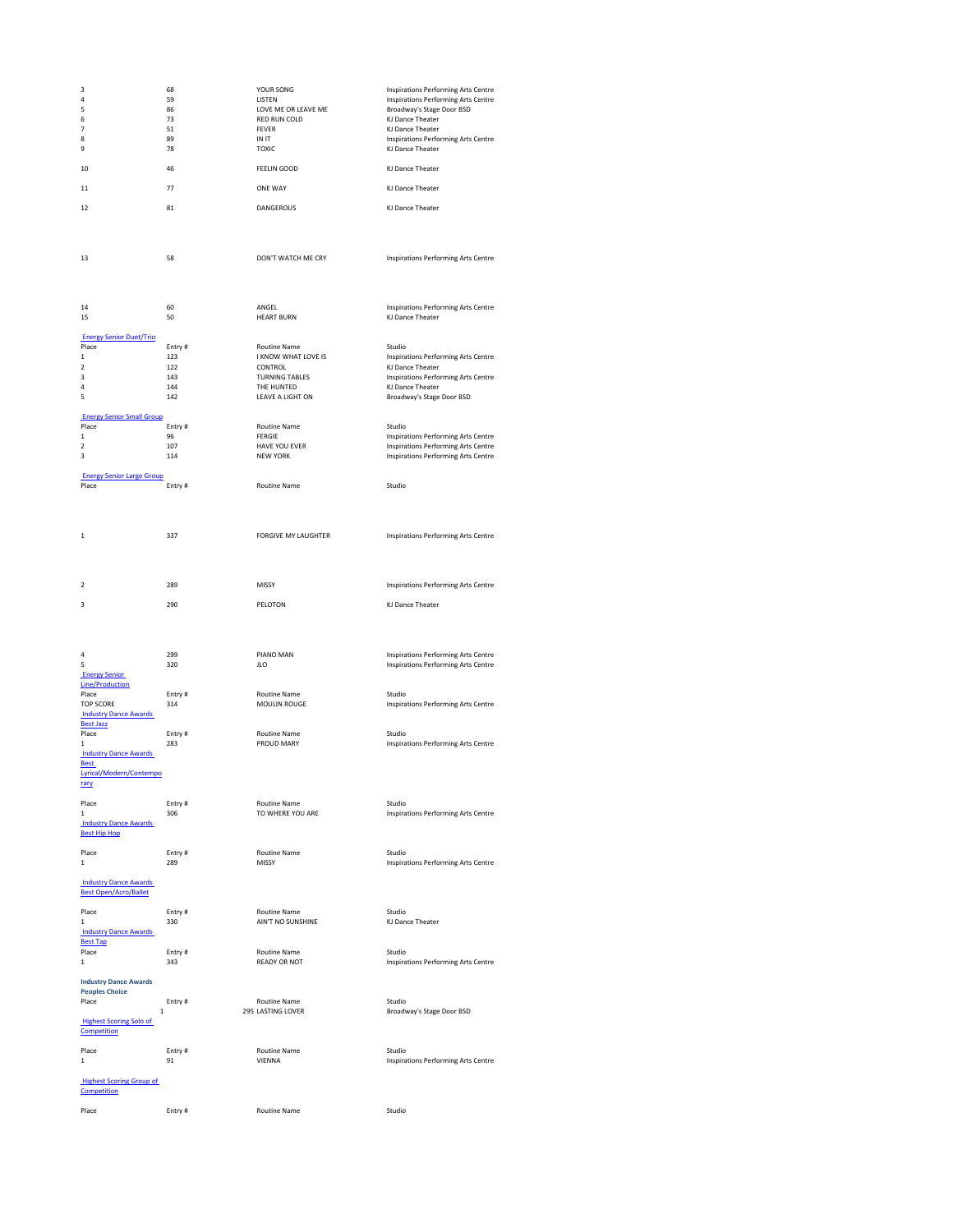| 3                                                     | 68            | YOUR SONG                     | Inspirations Performing Arts Centre                              |
|-------------------------------------------------------|---------------|-------------------------------|------------------------------------------------------------------|
| 4<br>5                                                | 59<br>86      | LISTEN<br>LOVE ME OR LEAVE ME | Inspirations Performing Arts Centre<br>Broadway's Stage Door BSD |
| 6                                                     | 73            | RED RUN COLD                  | KJ Dance Theater                                                 |
| 7                                                     | 51            | <b>FEVER</b>                  | KJ Dance Theater                                                 |
| 8                                                     | 89            | IN IT                         | Inspirations Performing Arts Centre                              |
| 9                                                     | 78            | <b>TOXIC</b>                  | KJ Dance Theater                                                 |
| 10                                                    | 46            | <b>FEELIN GOOD</b>            | KJ Dance Theater                                                 |
|                                                       |               |                               |                                                                  |
| 11                                                    | 77            | <b>ONE WAY</b>                | KJ Dance Theater                                                 |
| 12                                                    | 81            | <b>DANGEROUS</b>              | KJ Dance Theater                                                 |
|                                                       |               |                               |                                                                  |
|                                                       |               |                               |                                                                  |
|                                                       |               |                               |                                                                  |
|                                                       |               |                               |                                                                  |
| 13                                                    | 58            | DON'T WATCH ME CRY            | Inspirations Performing Arts Centre                              |
|                                                       |               |                               |                                                                  |
|                                                       |               |                               |                                                                  |
|                                                       |               |                               |                                                                  |
| 14                                                    | 60            | ANGEL                         | Inspirations Performing Arts Centre                              |
| 15                                                    | 50            | <b>HEART BURN</b>             | KJ Dance Theater                                                 |
|                                                       |               |                               |                                                                  |
| <b>Energy Senior Duet/Trio</b><br>Place               | Entry#        | Routine Name                  | Studio                                                           |
| $\mathbf{1}$                                          | 123           | I KNOW WHAT LOVE IS           | Inspirations Performing Arts Centre                              |
| $\overline{2}$                                        | 122           | CONTROL                       | KJ Dance Theater                                                 |
| з                                                     | 143           | <b>TURNING TABLES</b>         | Inspirations Performing Arts Centre                              |
| 4                                                     | 144           | THE HUNTED                    | KJ Dance Theater                                                 |
| 5                                                     | 142           | LEAVE A LIGHT ON              | Broadway's Stage Door BSD                                        |
| <b>Energy Senior Small Group</b>                      |               |                               |                                                                  |
| Place                                                 | Entry#        | Routine Name                  | Studio                                                           |
| 1                                                     | 96            | <b>FERGIE</b>                 | Inspirations Performing Arts Centre                              |
| $\overline{\mathbf{2}}$                               | 107           | HAVE YOU EVER                 | Inspirations Performing Arts Centre                              |
| 3                                                     | 114           | <b>NEW YORK</b>               | Inspirations Performing Arts Centre                              |
| <b>Energy Senior Large Group</b>                      |               |                               |                                                                  |
| Place                                                 | Entry#        | <b>Routine Name</b>           | Studio                                                           |
|                                                       |               |                               |                                                                  |
|                                                       |               |                               |                                                                  |
|                                                       |               |                               |                                                                  |
| 1                                                     | 337           | <b>FORGIVE MY LAUGHTER</b>    | Inspirations Performing Arts Centre                              |
|                                                       |               |                               |                                                                  |
|                                                       |               |                               |                                                                  |
|                                                       |               |                               |                                                                  |
|                                                       |               |                               |                                                                  |
| 2                                                     | 289           | MISSY                         | Inspirations Performing Arts Centre                              |
|                                                       |               |                               |                                                                  |
|                                                       |               |                               |                                                                  |
| 3                                                     | 290           | PELOTON                       | KJ Dance Theater                                                 |
|                                                       |               |                               |                                                                  |
|                                                       |               |                               |                                                                  |
|                                                       |               |                               |                                                                  |
| 4                                                     | 299           | PIANO MAN                     | Inspirations Performing Arts Centre                              |
| 5                                                     | 320           | JLO                           | <b>Inspirations Performing Arts Centre</b>                       |
| <b>Energy Senior</b>                                  |               |                               |                                                                  |
| <b>Line/Production</b><br>Place                       |               |                               | Studio                                                           |
| <b>TOP SCORE</b>                                      | Entry#<br>314 | Routine Name<br>MOULIN ROUGE  | Inspirations Performing Arts Centre                              |
| <b>Industry Dance Awards</b>                          |               |                               |                                                                  |
| <b>Best Jazz</b>                                      |               |                               |                                                                  |
| Place                                                 | Entry#        | Routine Name                  | Studio                                                           |
| 1                                                     | 283           | PROUD MARY                    | Inspirations Performing Arts Centre                              |
| <b>Industry Dance Awards</b><br><b>Best</b>           |               |                               |                                                                  |
| Lyrical/Modern/Contempo                               |               |                               |                                                                  |
| rary                                                  |               |                               |                                                                  |
|                                                       |               |                               |                                                                  |
| Place<br>1                                            | Entry#        | <b>Routine Name</b>           | Studio                                                           |
| <b>Industry Dance Awards</b>                          | 306           | TO WHERE YOU ARE              | Inspirations Performing Arts Centre                              |
| <b>Best Hip Hop</b>                                   |               |                               |                                                                  |
|                                                       |               |                               |                                                                  |
| Place                                                 | Entry#        | <b>Routine Name</b>           | Studio                                                           |
| $\mathbf{1}$                                          | 289           | MISSY                         | Inspirations Performing Arts Centre                              |
|                                                       |               |                               |                                                                  |
| <b>Industry Dance Awards</b>                          |               |                               |                                                                  |
| <b>Best Open/Acro/Ballet</b>                          |               |                               |                                                                  |
| Place                                                 | Entry#        | <b>Routine Name</b>           | Studio                                                           |
| $\mathbf 1$                                           | 330           | AIN'T NO SUNSHINE             | KJ Dance Theater                                                 |
| <b>Industry Dance Awards</b>                          |               |                               |                                                                  |
| <b>Best Tap</b><br>Place                              | Entry#        | Routine Name                  | Studio                                                           |
| $\mathbf 1$                                           | 343           | <b>READY OR NOT</b>           | Inspirations Performing Arts Centre                              |
|                                                       |               |                               |                                                                  |
| <b>Industry Dance Awards</b>                          |               |                               |                                                                  |
| <b>Peoples Choice</b><br>Place                        |               | <b>Routine Name</b>           | Studio                                                           |
| 1                                                     | Entry#        | 295 LASTING LOVER             | Broadway's Stage Door BSD                                        |
| <b>Highest Scoring Solo of</b>                        |               |                               |                                                                  |
| Competition                                           |               |                               |                                                                  |
|                                                       |               |                               |                                                                  |
| Place                                                 | Entry#<br>91  | <b>Routine Name</b>           | Studio                                                           |
| 1                                                     |               | VIENNA                        | Inspirations Performing Arts Centre                              |
| <b>Highest Scoring Group of</b><br><b>Competition</b> |               |                               |                                                                  |

Place **Entry #** Entry **#** Routine Name **Name** Studio